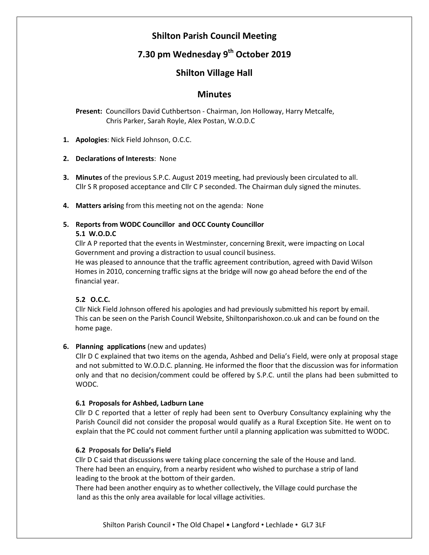## **Shilton Parish Council Meeting**

# **7.30 pm Wednesday 9 th October 2019**

## **Shilton Village Hall**

## **Minutes**

 **Present:** Councillors David Cuthbertson - Chairman, Jon Holloway, Harry Metcalfe, Chris Parker, Sarah Royle, Alex Postan, W.O.D.C

**1. Apologies**: Nick Field Johnson, O.C.C.

#### **2. Declarations of Interests**: None

**3. Minutes** of the previous S.P.C. August 2019 meeting, had previously been circulated to all. Cllr S R proposed acceptance and Cllr C P seconded. The Chairman duly signed the minutes.

**4. Matters arisin**g from this meeting not on the agenda: None

## **5. Reports from WODC Councillor and OCC County Councillor**

#### **5.1 W.O.D.C**

Cllr A P reported that the events in Westminster, concerning Brexit, were impacting on Local Government and proving a distraction to usual council business.

He was pleased to announce that the traffic agreement contribution, agreed with David Wilson Homes in 2010, concerning traffic signs at the bridge will now go ahead before the end of the financial year.

### **5.2 O.C.C.**

Cllr Nick Field Johnson offered his apologies and had previously submitted his report by email. This can be seen on the Parish Council Website, Shiltonparishoxon.co.uk and can be found on the home page.

### **6. Planning applications** (new and updates)

Cllr D C explained that two items on the agenda, Ashbed and Delia's Field, were only at proposal stage and not submitted to W.O.D.C. planning. He informed the floor that the discussion was for information only and that no decision/comment could be offered by S.P.C. until the plans had been submitted to WODC.

#### **6.1 Proposals for Ashbed, Ladburn Lane**

Cllr D C reported that a letter of reply had been sent to Overbury Consultancy explaining why the Parish Council did not consider the proposal would qualify as a Rural Exception Site. He went on to explain that the PC could not comment further until a planning application was submitted to WODC.

#### **6.2 Proposals for Delia's Field**

Cllr D C said that discussions were taking place concerning the sale of the House and land. There had been an enquiry, from a nearby resident who wished to purchase a strip of land leading to the brook at the bottom of their garden.

There had been another enquiry as to whether collectively, the Village could purchase the land as this the only area available for local village activities.